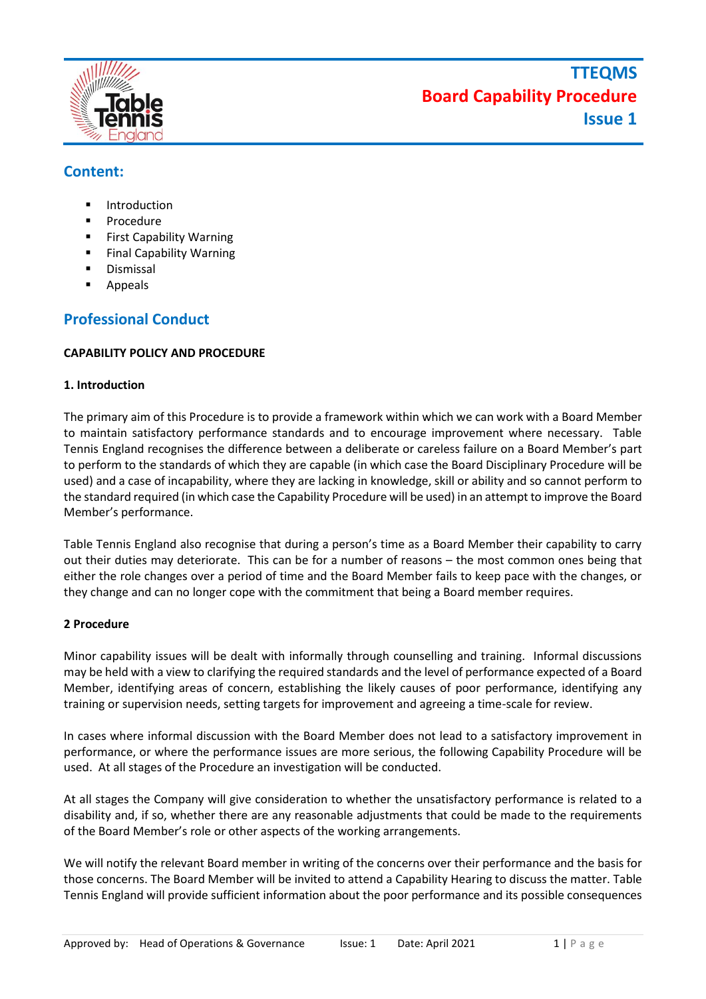

## **Content:**

- **Introduction**
- **Procedure**
- **First Capability Warning**
- **Final Capability Warning**
- **Dismissal**
- **Appeals**

## **Professional Conduct**

### **CAPABILITY POLICY AND PROCEDURE**

### **1. Introduction**

The primary aim of this Procedure is to provide a framework within which we can work with a Board Member to maintain satisfactory performance standards and to encourage improvement where necessary. Table Tennis England recognises the difference between a deliberate or careless failure on a Board Member's part to perform to the standards of which they are capable (in which case the Board Disciplinary Procedure will be used) and a case of incapability, where they are lacking in knowledge, skill or ability and so cannot perform to the standard required (in which case the Capability Procedure will be used) in an attempt to improve the Board Member's performance.

Table Tennis England also recognise that during a person's time as a Board Member their capability to carry out their duties may deteriorate. This can be for a number of reasons – the most common ones being that either the role changes over a period of time and the Board Member fails to keep pace with the changes, or they change and can no longer cope with the commitment that being a Board member requires.

### **2 Procedure**

Minor capability issues will be dealt with informally through counselling and training. Informal discussions may be held with a view to clarifying the required standards and the level of performance expected of a Board Member, identifying areas of concern, establishing the likely causes of poor performance, identifying any training or supervision needs, setting targets for improvement and agreeing a time-scale for review.

In cases where informal discussion with the Board Member does not lead to a satisfactory improvement in performance, or where the performance issues are more serious, the following Capability Procedure will be used. At all stages of the Procedure an investigation will be conducted.

At all stages the Company will give consideration to whether the unsatisfactory performance is related to a disability and, if so, whether there are any reasonable adjustments that could be made to the requirements of the Board Member's role or other aspects of the working arrangements.

We will notify the relevant Board member in writing of the concerns over their performance and the basis for those concerns. The Board Member will be invited to attend a Capability Hearing to discuss the matter. Table Tennis England will provide sufficient information about the poor performance and its possible consequences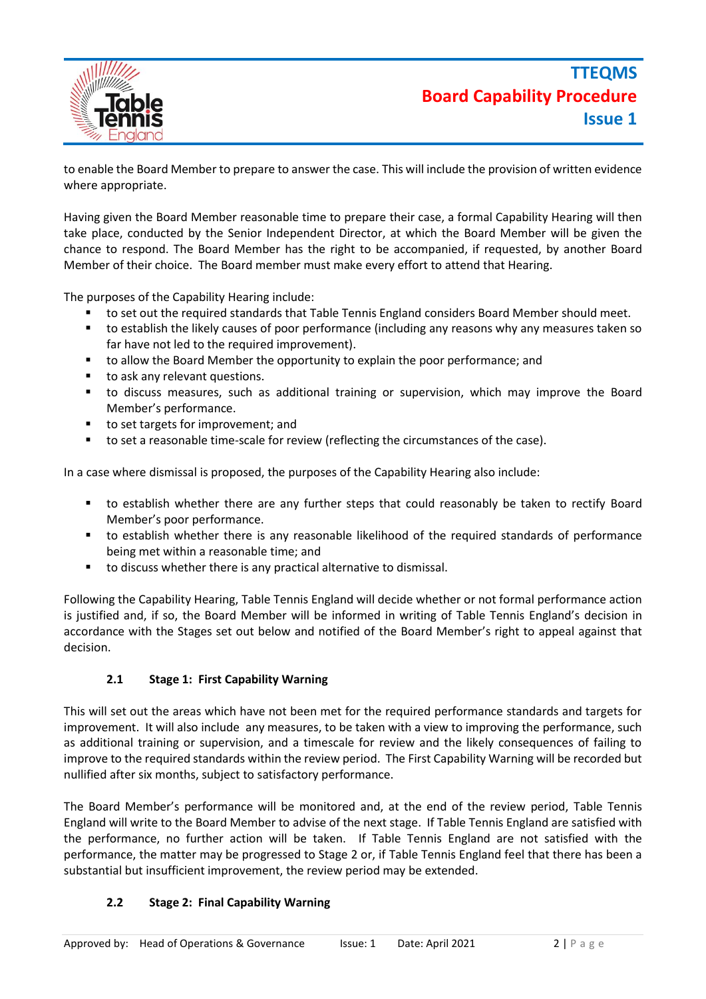



to enable the Board Member to prepare to answer the case. This will include the provision of written evidence where appropriate.

Having given the Board Member reasonable time to prepare their case, a formal Capability Hearing will then take place, conducted by the Senior Independent Director, at which the Board Member will be given the chance to respond. The Board Member has the right to be accompanied, if requested, by another Board Member of their choice. The Board member must make every effort to attend that Hearing.

The purposes of the Capability Hearing include:

- to set out the required standards that Table Tennis England considers Board Member should meet.
- to establish the likely causes of poor performance (including any reasons why any measures taken so far have not led to the required improvement).
- to allow the Board Member the opportunity to explain the poor performance; and
- to ask any relevant questions.
- to discuss measures, such as additional training or supervision, which may improve the Board Member's performance.
- to set targets for improvement; and
- to set a reasonable time-scale for review (reflecting the circumstances of the case).

In a case where dismissal is proposed, the purposes of the Capability Hearing also include:

- to establish whether there are any further steps that could reasonably be taken to rectify Board Member's poor performance.
- to establish whether there is any reasonable likelihood of the required standards of performance being met within a reasonable time; and
- to discuss whether there is any practical alternative to dismissal.

Following the Capability Hearing, Table Tennis England will decide whether or not formal performance action is justified and, if so, the Board Member will be informed in writing of Table Tennis England's decision in accordance with the Stages set out below and notified of the Board Member's right to appeal against that decision.

#### **2.1 Stage 1: First Capability Warning**

This will set out the areas which have not been met for the required performance standards and targets for improvement. It will also include any measures, to be taken with a view to improving the performance, such as additional training or supervision, and a timescale for review and the likely consequences of failing to improve to the required standards within the review period. The First Capability Warning will be recorded but nullified after six months, subject to satisfactory performance.

The Board Member's performance will be monitored and, at the end of the review period, Table Tennis England will write to the Board Member to advise of the next stage. If Table Tennis England are satisfied with the performance, no further action will be taken. If Table Tennis England are not satisfied with the performance, the matter may be progressed to Stage 2 or, if Table Tennis England feel that there has been a substantial but insufficient improvement, the review period may be extended.

### **2.2 Stage 2: Final Capability Warning**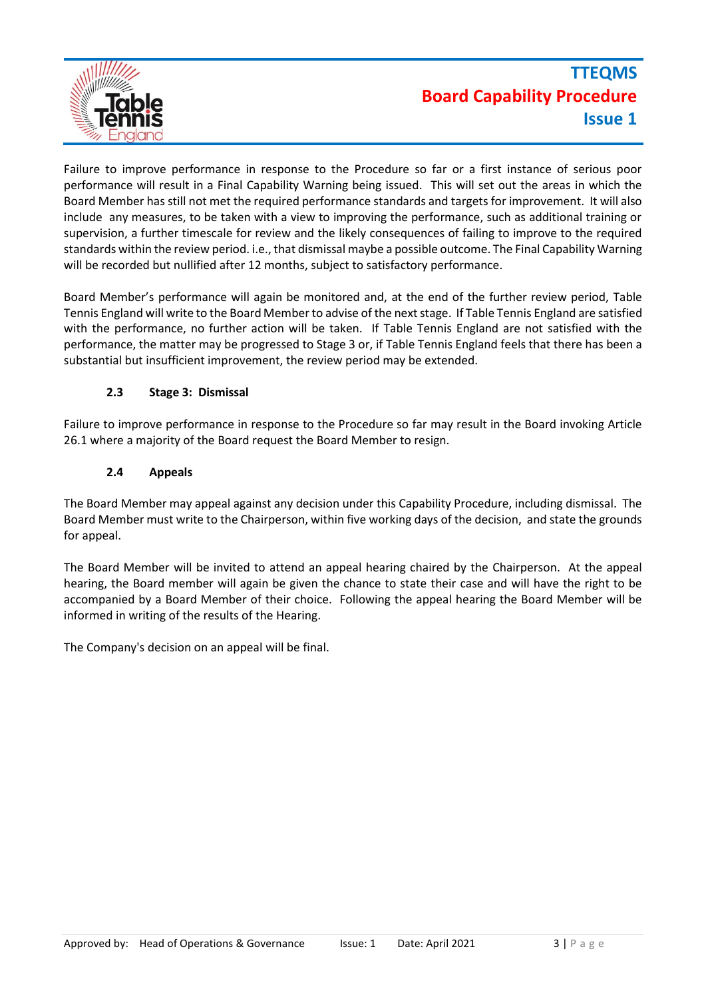

# **TTEQMS Board Capability Procedure Issue 1**

Failure to improve performance in response to the Procedure so far or a first instance of serious poor performance will result in a Final Capability Warning being issued. This will set out the areas in which the Board Member has still not met the required performance standards and targets for improvement. It will also include any measures, to be taken with a view to improving the performance, such as additional training or supervision, a further timescale for review and the likely consequences of failing to improve to the required standards within the review period. i.e., that dismissal maybe a possible outcome. The Final Capability Warning will be recorded but nullified after 12 months, subject to satisfactory performance.

Board Member's performance will again be monitored and, at the end of the further review period, Table Tennis England will write to the Board Member to advise of the next stage. If Table Tennis England are satisfied with the performance, no further action will be taken. If Table Tennis England are not satisfied with the performance, the matter may be progressed to Stage 3 or, if Table Tennis England feels that there has been a substantial but insufficient improvement, the review period may be extended.

### **2.3 Stage 3: Dismissal**

Failure to improve performance in response to the Procedure so far may result in the Board invoking Article 26.1 where a majority of the Board request the Board Member to resign.

### **2.4 Appeals**

The Board Member may appeal against any decision under this Capability Procedure, including dismissal. The Board Member must write to the Chairperson, within five working days of the decision, and state the grounds for appeal.

The Board Member will be invited to attend an appeal hearing chaired by the Chairperson. At the appeal hearing, the Board member will again be given the chance to state their case and will have the right to be accompanied by a Board Member of their choice. Following the appeal hearing the Board Member will be informed in writing of the results of the Hearing.

The Company's decision on an appeal will be final.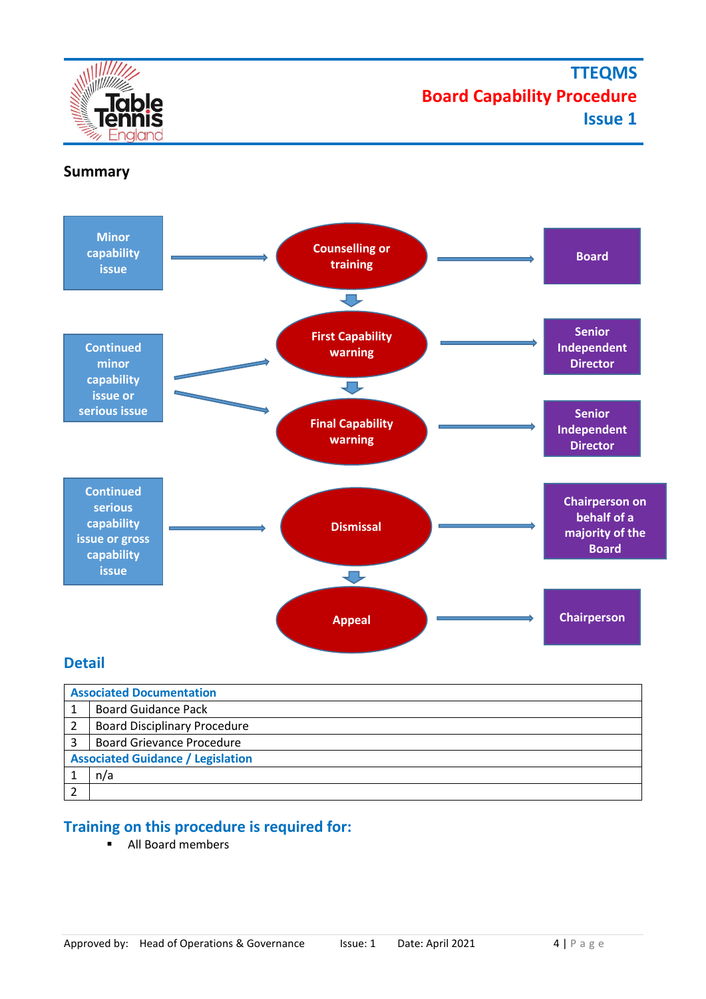



### **Summary**



### **Detail**

| <b>Associated Documentation</b>          |                                     |  |  |
|------------------------------------------|-------------------------------------|--|--|
|                                          | <b>Board Guidance Pack</b>          |  |  |
|                                          | <b>Board Disciplinary Procedure</b> |  |  |
|                                          | <b>Board Grievance Procedure</b>    |  |  |
| <b>Associated Guidance / Legislation</b> |                                     |  |  |
|                                          | n/a                                 |  |  |
|                                          |                                     |  |  |

## **Training on this procedure is required for:**

■ All Board members